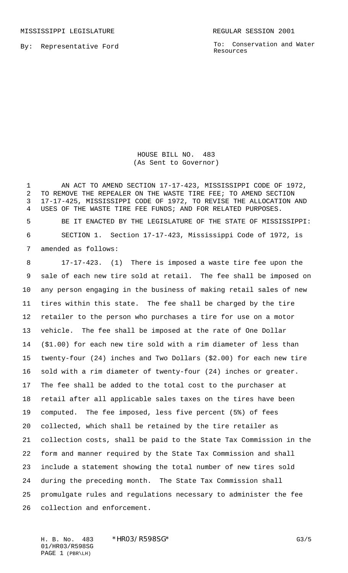MISSISSIPPI LEGISLATURE **REGULAR SESSION 2001** 

By: Representative Ford

To: Conservation and Water Resources

HOUSE BILL NO. 483 (As Sent to Governor)

1 AN ACT TO AMEND SECTION 17-17-423, MISSISSIPPI CODE OF 1972, TO REMOVE THE REPEALER ON THE WASTE TIRE FEE; TO AMEND SECTION 17-17-425, MISSISSIPPI CODE OF 1972, TO REVISE THE ALLOCATION AND USES OF THE WASTE TIRE FEE FUNDS; AND FOR RELATED PURPOSES.

 BE IT ENACTED BY THE LEGISLATURE OF THE STATE OF MISSISSIPPI: SECTION 1. Section 17-17-423, Mississippi Code of 1972, is amended as follows:

 17-17-423. (1) There is imposed a waste tire fee upon the sale of each new tire sold at retail. The fee shall be imposed on any person engaging in the business of making retail sales of new tires within this state. The fee shall be charged by the tire retailer to the person who purchases a tire for use on a motor vehicle. The fee shall be imposed at the rate of One Dollar (\$1.00) for each new tire sold with a rim diameter of less than twenty-four (24) inches and Two Dollars (\$2.00) for each new tire sold with a rim diameter of twenty-four (24) inches or greater. The fee shall be added to the total cost to the purchaser at retail after all applicable sales taxes on the tires have been computed. The fee imposed, less five percent (5%) of fees collected, which shall be retained by the tire retailer as collection costs, shall be paid to the State Tax Commission in the form and manner required by the State Tax Commission and shall include a statement showing the total number of new tires sold during the preceding month. The State Tax Commission shall promulgate rules and regulations necessary to administer the fee collection and enforcement.

H. B. No. 483 \*HRO3/R598SG\* G3/5 01/HR03/R598SG PAGE 1 (PBR\LH)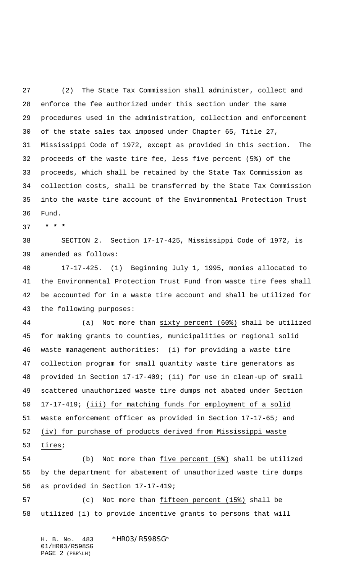(2) The State Tax Commission shall administer, collect and enforce the fee authorized under this section under the same procedures used in the administration, collection and enforcement of the state sales tax imposed under Chapter 65, Title 27, Mississippi Code of 1972, except as provided in this section. The proceeds of the waste tire fee, less five percent (5%) of the proceeds, which shall be retained by the State Tax Commission as collection costs, shall be transferred by the State Tax Commission into the waste tire account of the Environmental Protection Trust Fund.

 **\* \* \***

 SECTION 2. Section 17-17-425, Mississippi Code of 1972, is amended as follows:

 17-17-425. (1) Beginning July 1, 1995, monies allocated to the Environmental Protection Trust Fund from waste tire fees shall be accounted for in a waste tire account and shall be utilized for the following purposes:

 (a) Not more than sixty percent (60%) shall be utilized for making grants to counties, municipalities or regional solid waste management authorities: (i) for providing a waste tire collection program for small quantity waste tire generators as provided in Section 17-17-409; (ii) for use in clean-up of small scattered unauthorized waste tire dumps not abated under Section 17-17-419; (iii) for matching funds for employment of a solid waste enforcement officer as provided in Section 17-17-65; and (iv) for purchase of products derived from Mississippi waste tires;

 (b) Not more than five percent (5%) shall be utilized by the department for abatement of unauthorized waste tire dumps as provided in Section 17-17-419;

 (c) Not more than fifteen percent (15%) shall be utilized (i) to provide incentive grants to persons that will

H. B. No. 483 \*HR03/R598SG\* 01/HR03/R598SG PAGE 2 (PBR\LH)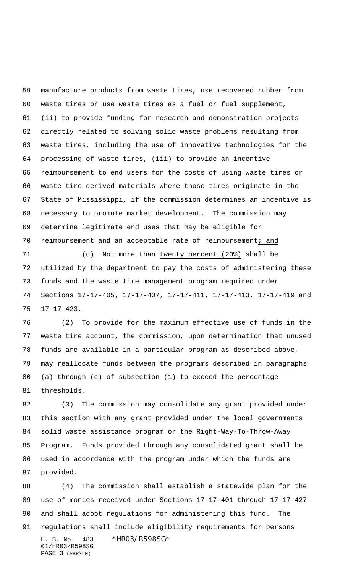manufacture products from waste tires, use recovered rubber from waste tires or use waste tires as a fuel or fuel supplement, (ii) to provide funding for research and demonstration projects directly related to solving solid waste problems resulting from waste tires, including the use of innovative technologies for the processing of waste tires, (iii) to provide an incentive reimbursement to end users for the costs of using waste tires or waste tire derived materials where those tires originate in the State of Mississippi, if the commission determines an incentive is necessary to promote market development. The commission may determine legitimate end uses that may be eligible for reimbursement and an acceptable rate of reimbursement; and

 (d) Not more than twenty percent (20%) shall be utilized by the department to pay the costs of administering these funds and the waste tire management program required under Sections 17-17-405, 17-17-407, 17-17-411, 17-17-413, 17-17-419 and 17-17-423.

 (2) To provide for the maximum effective use of funds in the waste tire account, the commission, upon determination that unused funds are available in a particular program as described above, may reallocate funds between the programs described in paragraphs (a) through (c) of subsection (1) to exceed the percentage thresholds.

 (3) The commission may consolidate any grant provided under this section with any grant provided under the local governments solid waste assistance program or the Right-Way-To-Throw-Away Program. Funds provided through any consolidated grant shall be used in accordance with the program under which the funds are provided.

H. B. No. 483 \*HR03/R598SG\* 01/HR03/R598SG PAGE 3 (PBR\LH) (4) The commission shall establish a statewide plan for the use of monies received under Sections 17-17-401 through 17-17-427 and shall adopt regulations for administering this fund. The regulations shall include eligibility requirements for persons